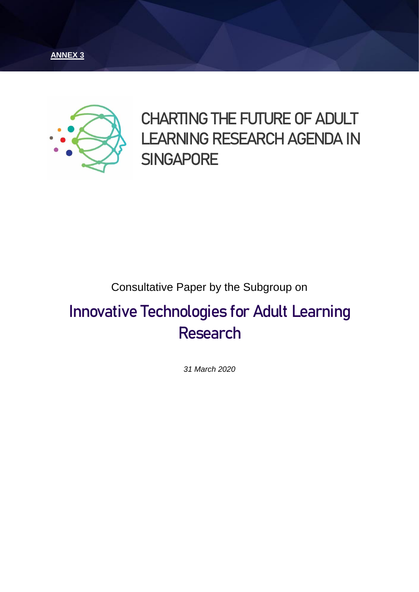



# **CHARTING THE FUTURE OF ADULT LEARNING RESEARCH AGENDA IN SINGAPORE**

### Consultative Paper by the Subgroup on

# **Innovative Technologies for Adult Learning Research**

*31 March 2020*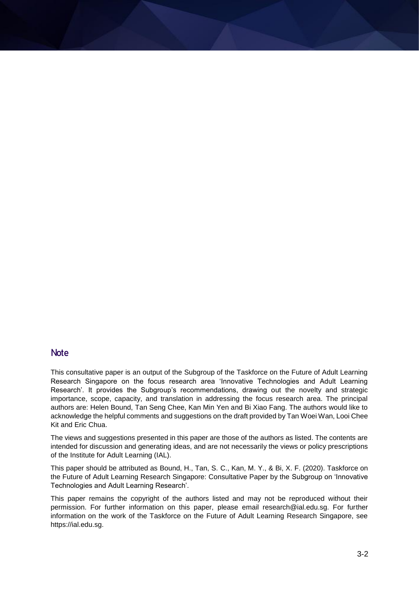#### **Note**

This consultative paper is an output of the Subgroup of the Taskforce on the Future of Adult Learning Research Singapore on the focus research area 'Innovative Technologies and Adult Learning Research'. It provides the Subgroup's recommendations, drawing out the novelty and strategic importance, scope, capacity, and translation in addressing the focus research area. The principal authors are: Helen Bound, Tan Seng Chee, Kan Min Yen and Bi Xiao Fang. The authors would like to acknowledge the helpful comments and suggestions on the draft provided by Tan Woei Wan, Looi Chee Kit and Eric Chua.

The views and suggestions presented in this paper are those of the authors as listed. The contents are intended for discussion and generating ideas, and are not necessarily the views or policy prescriptions of the Institute for Adult Learning (IAL).

This paper should be attributed as Bound, H., Tan, S. C., Kan, M. Y., & Bi, X. F. (2020). Taskforce on the Future of Adult Learning Research Singapore: Consultative Paper by the Subgroup on 'Innovative Technologies and Adult Learning Research'.

This paper remains the copyright of the authors listed and may not be reproduced without their permission. For further information on this paper, please email research@ial.edu.sg. For further information on the work of the Taskforce on the Future of Adult Learning Research Singapore, see [https://ial.edu.sg.](https://ial.edu.sg/)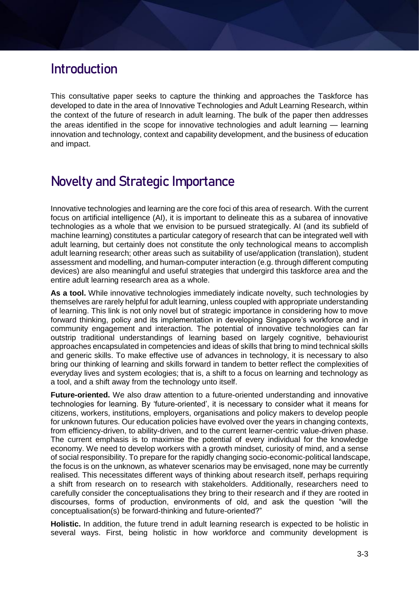### **Introduction**

This consultative paper seeks to capture the thinking and approaches the Taskforce has developed to date in the area of Innovative Technologies and Adult Learning Research, within the context of the future of research in adult learning. The bulk of the paper then addresses the areas identified in the scope for innovative technologies and adult learning — learning innovation and technology, context and capability development, and the business of education and impact.

# **Novelty and Strategic Importance**

Innovative technologies and learning are the core foci of this area of research. With the current focus on artificial intelligence (AI), it is important to delineate this as a subarea of innovative technologies as a whole that we envision to be pursued strategically. AI (and its subfield of machine learning) constitutes a particular category of research that can be integrated well with adult learning, but certainly does not constitute the only technological means to accomplish adult learning research; other areas such as suitability of use/application (translation), student assessment and modelling, and human-computer interaction (e.g. through different computing devices) are also meaningful and useful strategies that undergird this taskforce area and the entire adult learning research area as a whole.

As a tool. While innovative technologies immediately indicate novelty, such technologies by themselves are rarely helpful for adult learning, unless coupled with appropriate understanding of learning. This link is not only novel but of strategic importance in considering how to move forward thinking, policy and its implementation in developing Singapore's workforce and in community engagement and interaction. The potential of innovative technologies can far outstrip traditional understandings of learning based on largely cognitive, behaviourist approaches encapsulated in competencies and ideas of skills that bring to mind technical skills and generic skills. To make effective use of advances in technology, it is necessary to also bring our thinking of learning and skills forward in tandem to better reflect the complexities of everyday lives and system ecologies; that is, a shift to a focus on learning and technology as a tool, and a shift away from the technology unto itself.

**Future-oriented.** We also draw attention to a future-oriented understanding and innovative technologies for learning. By 'future-oriented', it is necessary to consider what it means for citizens, workers, institutions, employers, organisations and policy makers to develop people for unknown futures. Our education policies have evolved over the years in changing contexts, from efficiency-driven, to ability-driven, and to the current learner-centric value-driven phase. The current emphasis is to maximise the potential of every individual for the knowledge economy. We need to develop workers with a growth mindset, curiosity of mind, and a sense of social responsibility. To prepare for the rapidly changing socio-economic-political landscape, the focus is on the unknown, as whatever scenarios may be envisaged, none may be currently realised. This necessitates different ways of thinking about research itself, perhaps requiring a shift from research on to research with stakeholders. Additionally, researchers need to carefully consider the conceptualisations they bring to their research and if they are rooted in discourses, forms of production, environments of old, and ask the question "will the conceptualisation(s) be forward-thinking and future-oriented?"

**Holistic.** In addition, the future trend in adult learning research is expected to be holistic in several ways. First, being holistic in how workforce and community development is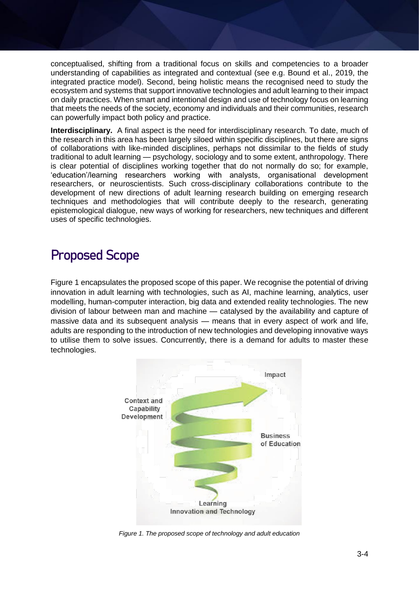conceptualised, shifting from a traditional focus on skills and competencies to a broader understanding of capabilities as integrated and contextual (see e.g. Bound et al., 2019, the integrated practice model). Second, being holistic means the recognised need to study the ecosystem and systems that support innovative technologies and adult learning to their impact on daily practices. When smart and intentional design and use of technology focus on learning that meets the needs of the society, economy and individuals and their communities, research can powerfully impact both policy and practice.

**Interdisciplinary.** A final aspect is the need for interdisciplinary research. To date, much of the research in this area has been largely siloed within specific disciplines, but there are signs of collaborations with like-minded disciplines, perhaps not dissimilar to the fields of study traditional to adult learning — psychology, sociology and to some extent, anthropology. There is clear potential of disciplines working together that do not normally do so; for example, 'education'/learning researchers working with analysts, organisational development researchers, or neuroscientists. Such cross-disciplinary collaborations contribute to the development of new directions of adult learning research building on emerging research techniques and methodologies that will contribute deeply to the research, generating epistemological dialogue, new ways of working for researchers, new techniques and different uses of specific technologies.

## **Proposed Scope**

Figure 1 encapsulates the proposed scope of this paper. We recognise the potential of driving innovation in adult learning with technologies, such as AI, machine learning, analytics, user modelling, human-computer interaction, big data and extended reality technologies. The new division of labour between man and machine — catalysed by the availability and capture of massive data and its subsequent analysis — means that in every aspect of work and life, adults are responding to the introduction of new technologies and developing innovative ways to utilise them to solve issues. Concurrently, there is a demand for adults to master these technologies.



*Figure 1. The proposed scope of technology and adult education*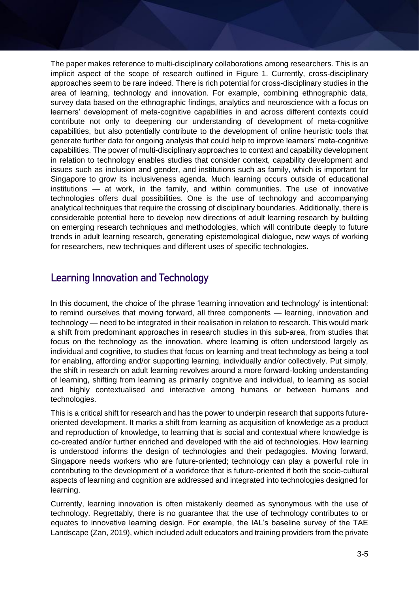The paper makes reference to multi-disciplinary collaborations among researchers. This is an implicit aspect of the scope of research outlined in Figure 1. Currently, cross-disciplinary approaches seem to be rare indeed. There is rich potential for cross-disciplinary studies in the area of learning, technology and innovation. For example, combining ethnographic data, survey data based on the ethnographic findings, analytics and neuroscience with a focus on learners' development of meta-cognitive capabilities in and across different contexts could contribute not only to deepening our understanding of development of meta-cognitive capabilities, but also potentially contribute to the development of online heuristic tools that generate further data for ongoing analysis that could help to improve learners' meta-cognitive capabilities. The power of multi-disciplinary approaches to context and capability development in relation to technology enables studies that consider context, capability development and issues such as inclusion and gender, and institutions such as family, which is important for Singapore to grow its inclusiveness agenda. Much learning occurs outside of educational institutions — at work, in the family, and within communities. The use of innovative technologies offers dual possibilities. One is the use of technology and accompanying analytical techniques that require the crossing of disciplinary boundaries. Additionally, there is considerable potential here to develop new directions of adult learning research by building on emerging research techniques and methodologies, which will contribute deeply to future trends in adult learning research, generating epistemological dialogue, new ways of working for researchers, new techniques and different uses of specific technologies.

### **Learning Innovation and Technology**

In this document, the choice of the phrase 'learning innovation and technology' is intentional: to remind ourselves that moving forward, all three components — learning, innovation and technology — need to be integrated in their realisation in relation to research. This would mark a shift from predominant approaches in research studies in this sub-area, from studies that focus on the technology as the innovation, where learning is often understood largely as individual and cognitive, to studies that focus on learning and treat technology as being a tool for enabling, affording and/or supporting learning, individually and/or collectively. Put simply, the shift in research on adult learning revolves around a more forward-looking understanding of learning, shifting from learning as primarily cognitive and individual, to learning as social and highly contextualised and interactive among humans or between humans and technologies.

This is a critical shift for research and has the power to underpin research that supports futureoriented development. It marks a shift from learning as acquisition of knowledge as a product and reproduction of knowledge, to learning that is social and contextual where knowledge is co-created and/or further enriched and developed with the aid of technologies. How learning is understood informs the design of technologies and their pedagogies. Moving forward, Singapore needs workers who are future-oriented; technology can play a powerful role in contributing to the development of a workforce that is future-oriented if both the socio-cultural aspects of learning and cognition are addressed and integrated into technologies designed for learning.

Currently, learning innovation is often mistakenly deemed as synonymous with the use of technology. Regrettably, there is no guarantee that the use of technology contributes to or equates to innovative learning design. For example, the IAL's baseline survey of the TAE Landscape (Zan, 2019), which included adult educators and training providers from the private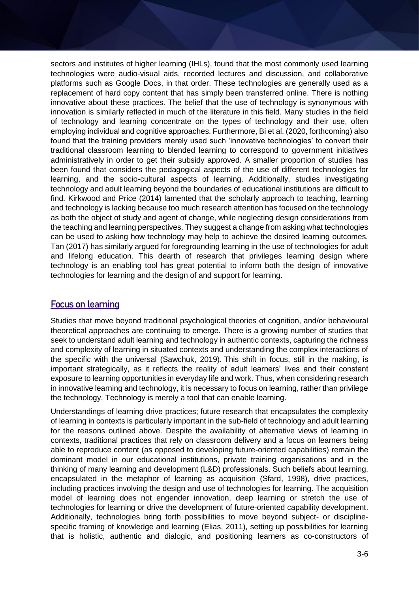sectors and institutes of higher learning (IHLs), found that the most commonly used learning technologies were audio-visual aids, recorded lectures and discussion, and collaborative platforms such as Google Docs, in that order. These technologies are generally used as a replacement of hard copy content that has simply been transferred online. There is nothing innovative about these practices. The belief that the use of technology is synonymous with innovation is similarly reflected in much of the literature in this field. Many studies in the field of technology and learning concentrate on the types of technology and their use, often employing individual and cognitive approaches. Furthermore, Bi et al. (2020, forthcoming) also found that the training providers merely used such 'innovative technologies' to convert their traditional classroom learning to blended learning to correspond to government initiatives administratively in order to get their subsidy approved. A smaller proportion of studies has been found that considers the pedagogical aspects of the use of different technologies for learning, and the socio-cultural aspects of learning. Additionally, studies investigating technology and adult learning beyond the boundaries of educational institutions are difficult to find. Kirkwood and Price (2014) lamented that the scholarly approach to teaching, learning and technology is lacking because too much research attention has focused on the technology as both the object of study and agent of change, while neglecting design considerations from the teaching and learning perspectives. They suggest a change from asking what technologies can be used to asking how technology may help to achieve the desired learning outcomes. Tan (2017) has similarly argued for foregrounding learning in the use of technologies for adult and lifelong education. This dearth of research that privileges learning design where technology is an enabling tool has great potential to inform both the design of innovative technologies for learning and the design of and support for learning.

### Focus on learning

Studies that move beyond traditional psychological theories of cognition, and/or behavioural theoretical approaches are continuing to emerge. There is a growing number of studies that seek to understand adult learning and technology in authentic contexts, capturing the richness and complexity of learning in situated contexts and understanding the complex interactions of the specific with the universal (Sawchuk, 2019). This shift in focus, still in the making, is important strategically, as it reflects the reality of adult learners' lives and their constant exposure to learning opportunities in everyday life and work. Thus, when considering research in innovative learning and technology, it is necessary to focus on learning, rather than privilege the technology. Technology is merely a tool that can enable learning.

Understandings of learning drive practices; future research that encapsulates the complexity of learning in contexts is particularly important in the sub-field of technology and adult learning for the reasons outlined above. Despite the availability of alternative views of learning in contexts, traditional practices that rely on classroom delivery and a focus on learners being able to reproduce content (as opposed to developing future-oriented capabilities) remain the dominant model in our educational institutions, private training organisations and in the thinking of many learning and development (L&D) professionals. Such beliefs about learning, encapsulated in the metaphor of learning as acquisition (Sfard, 1998), drive practices, including practices involving the design and use of technologies for learning. The acquisition model of learning does not engender innovation, deep learning or stretch the use of technologies for learning or drive the development of future-oriented capability development. Additionally, technologies bring forth possibilities to move beyond subject- or disciplinespecific framing of knowledge and learning (Elias, 2011), setting up possibilities for learning that is holistic, authentic and dialogic, and positioning learners as co-constructors of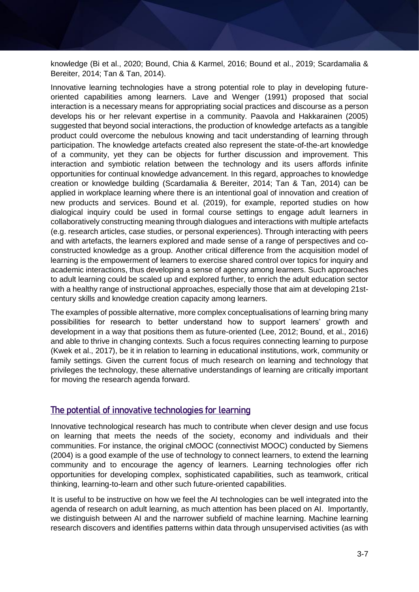knowledge (Bi et al., 2020; Bound, Chia & Karmel, 2016; Bound et al., 2019; Scardamalia & Bereiter, 2014; Tan & Tan, 2014).

Innovative learning technologies have a strong potential role to play in developing futureoriented capabilities among learners. Lave and Wenger (1991) proposed that social interaction is a necessary means for appropriating social practices and discourse as a person develops his or her relevant expertise in a community. Paavola and Hakkarainen (2005) suggested that beyond social interactions, the production of knowledge artefacts as a tangible product could overcome the nebulous knowing and tacit understanding of learning through participation. The knowledge artefacts created also represent the state-of-the-art knowledge of a community, yet they can be objects for further discussion and improvement. This interaction and symbiotic relation between the technology and its users affords infinite opportunities for continual knowledge advancement. In this regard, approaches to knowledge creation or knowledge building (Scardamalia & Bereiter, 2014; Tan & Tan, 2014) can be applied in workplace learning where there is an intentional goal of innovation and creation of new products and services. Bound et al. (2019), for example, reported studies on how dialogical inquiry could be used in formal course settings to engage adult learners in collaboratively constructing meaning through dialogues and interactions with multiple artefacts (e.g. research articles, case studies, or personal experiences). Through interacting with peers and with artefacts, the learners explored and made sense of a range of perspectives and coconstructed knowledge as a group. Another critical difference from the acquisition model of learning is the empowerment of learners to exercise shared control over topics for inquiry and academic interactions, thus developing a sense of agency among learners. Such approaches to adult learning could be scaled up and explored further, to enrich the adult education sector with a healthy range of instructional approaches, especially those that aim at developing 21stcentury skills and knowledge creation capacity among learners.

The examples of possible alternative, more complex conceptualisations of learning bring many possibilities for research to better understand how to support learners' growth and development in a way that positions them as future-oriented (Lee, 2012; Bound, et al., 2016) and able to thrive in changing contexts. Such a focus requires connecting learning to purpose (Kwek et al., 2017), be it in relation to learning in educational institutions, work, community or family settings. Given the current focus of much research on learning and technology that privileges the technology, these alternative understandings of learning are critically important for moving the research agenda forward.

### The potential of innovative technologies for learning

Innovative technological research has much to contribute when clever design and use focus on learning that meets the needs of the society, economy and individuals and their communities. For instance, the original cMOOC (connectivist MOOC) conducted by Siemens (2004) is a good example of the use of technology to connect learners, to extend the learning community and to encourage the agency of learners. Learning technologies offer rich opportunities for developing complex, sophisticated capabilities, such as teamwork, critical thinking, learning-to-learn and other such future-oriented capabilities.

It is useful to be instructive on how we feel the AI technologies can be well integrated into the agenda of research on adult learning, as much attention has been placed on AI. Importantly, we distinguish between AI and the narrower subfield of machine learning. Machine learning research discovers and identifies patterns within data through unsupervised activities (as with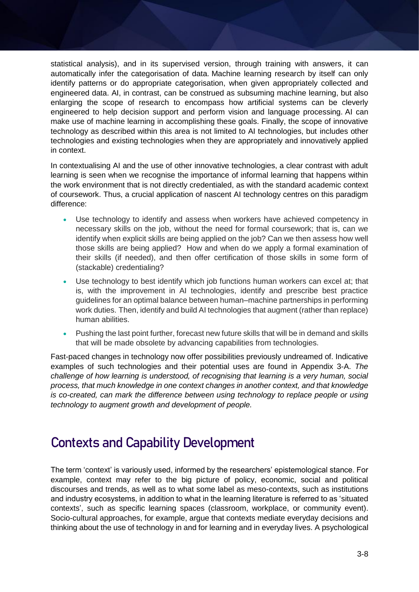statistical analysis), and in its supervised version, through training with answers, it can automatically infer the categorisation of data. Machine learning research by itself can only identify patterns or do appropriate categorisation, when given appropriately collected and engineered data. AI, in contrast, can be construed as subsuming machine learning, but also enlarging the scope of research to encompass how artificial systems can be cleverly engineered to help decision support and perform vision and language processing. AI can make use of machine learning in accomplishing these goals. Finally, the scope of innovative technology as described within this area is not limited to AI technologies, but includes other technologies and existing technologies when they are appropriately and innovatively applied in context.

In contextualising AI and the use of other innovative technologies, a clear contrast with adult learning is seen when we recognise the importance of informal learning that happens within the work environment that is not directly credentialed, as with the standard academic context of coursework. Thus, a crucial application of nascent AI technology centres on this paradigm difference:

- Use technology to identify and assess when workers have achieved competency in necessary skills on the job, without the need for formal coursework; that is, can we identify when explicit skills are being applied on the job? Can we then assess how well those skills are being applied? How and when do we apply a formal examination of their skills (if needed), and then offer certification of those skills in some form of (stackable) credentialing?
- Use technology to best identify which job functions human workers can excel at; that is, with the improvement in AI technologies, identify and prescribe best practice guidelines for an optimal balance between human–machine partnerships in performing work duties. Then, identify and build AI technologies that augment (rather than replace) human abilities.
- Pushing the last point further, forecast new future skills that will be in demand and skills that will be made obsolete by advancing capabilities from technologies.

Fast-paced changes in technology now offer possibilities previously undreamed of. Indicative examples of such technologies and their potential uses are found in Appendix 3-A. *The challenge of how learning is understood, of recognising that learning is a very human, social process, that much knowledge in one context changes in another context, and that knowledge is co-created, can mark the difference between using technology to replace people or using technology to augment growth and development of people.*

## **Contexts and Capability Development**

The term 'context' is variously used, informed by the researchers' epistemological stance. For example, context may refer to the big picture of policy, economic, social and political discourses and trends, as well as to what some label as meso-contexts, such as institutions and industry ecosystems, in addition to what in the learning literature is referred to as 'situated contexts', such as specific learning spaces (classroom, workplace, or community event). Socio-cultural approaches, for example, argue that contexts mediate everyday decisions and thinking about the use of technology in and for learning and in everyday lives. A psychological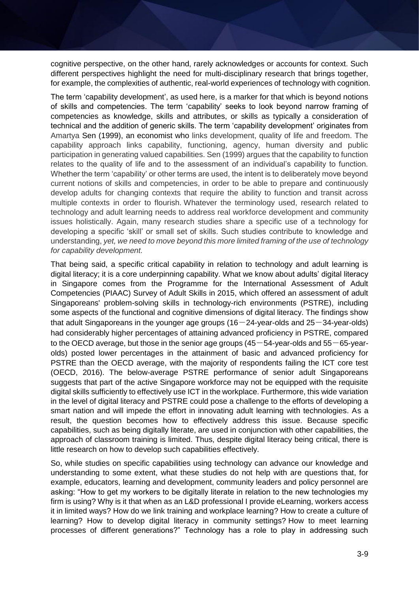cognitive perspective, on the other hand, rarely acknowledges or accounts for context. Such different perspectives highlight the need for multi-disciplinary research that brings together, for example, the complexities of authentic, real-world experiences of technology with cognition.

The term 'capability development', as used here, is a marker for that which is beyond notions of skills and competencies. The term 'capability' seeks to look beyond narrow framing of competencies as knowledge, skills and attributes, or skills as typically a consideration of technical and the addition of generic skills. The term 'capability development' originates from Amartya Sen (1999), an economist who links development, quality of life and freedom. The capability approach links capability, functioning, agency, human diversity and public participation in generating valued capabilities. Sen (1999) argues that the capability to function relates to the quality of life and to the assessment of an individual's capability to function. Whether the term 'capability' or other terms are used, the intent is to deliberately move beyond current notions of skills and competencies, in order to be able to prepare and continuously develop adults for changing contexts that require the ability to function and transit across multiple contexts in order to flourish. Whatever the terminology used, research related to technology and adult learning needs to address real workforce development and community issues holistically. Again, many research studies share a specific use of a technology for developing a specific 'skill' or small set of skills. Such studies contribute to knowledge and understanding, *yet, we need to move beyond this more limited framing of the use of technology for capability development.*

That being said, a specific critical capability in relation to technology and adult learning is digital literacy; it is a core underpinning capability. What we know about adults' digital literacy in Singapore comes from the Programme for the International Assessment of Adult Competencies (PIAAC) Survey of Adult Skills in 2015, which offered an assessment of adult Singaporeans' problem-solving skills in technology-rich environments (PSTRE), including some aspects of the functional and cognitive dimensions of digital literacy. The findings show that adult Singaporeans in the younger age groups  $(16-24$ -year-olds and  $25-34$ -year-olds) had considerably higher percentages of attaining advanced proficiency in PSTRE, compared to the OECD average, but those in the senior age groups  $(45-54$ -year-olds and  $55-65$ -yearolds) posted lower percentages in the attainment of basic and advanced proficiency for PSTRE than the OECD average, with the majority of respondents failing the ICT core test (OECD, 2016). The below-average PSTRE performance of senior adult Singaporeans suggests that part of the active Singapore workforce may not be equipped with the requisite digital skills sufficiently to effectively use ICT in the workplace. Furthermore, this wide variation in the level of digital literacy and PSTRE could pose a challenge to the efforts of developing a smart nation and will impede the effort in innovating adult learning with technologies. As a result, the question becomes how to effectively address this issue. Because specific capabilities, such as being digitally literate, are used in conjunction with other capabilities, the approach of classroom training is limited. Thus, despite digital literacy being critical, there is little research on how to develop such capabilities effectively.

So, while studies on specific capabilities using technology can advance our knowledge and understanding to some extent, what these studies do not help with are questions that, for example, educators, learning and development, community leaders and policy personnel are asking: "How to get my workers to be digitally literate in relation to the new technologies my firm is using? Why is it that when as an L&D professional I provide eLearning, workers access it in limited ways? How do we link training and workplace learning? How to create a culture of learning? How to develop digital literacy in community settings? How to meet learning processes of different generations?" Technology has a role to play in addressing such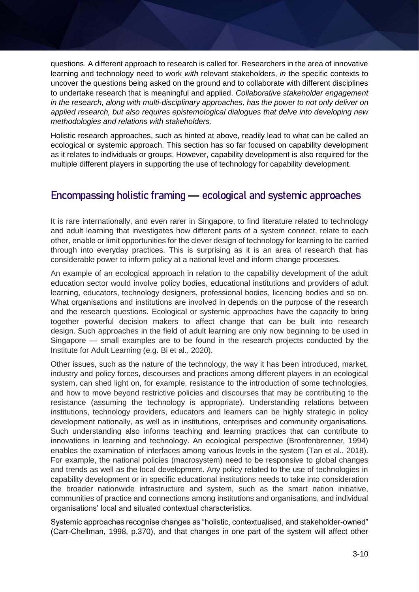questions. A different approach to research is called for. Researchers in the area of innovative learning and technology need to work *with* relevant stakeholders, *in* the specific contexts to uncover the questions being asked on the ground and to collaborate with different disciplines to undertake research that is meaningful and applied. *Collaborative stakeholder engagement in the research, along with multi-disciplinary approaches, has the power to not only deliver on applied research, but also requires epistemological dialogues that delve into developing new methodologies and relations with stakeholders.*

Holistic research approaches, such as hinted at above, readily lead to what can be called an ecological or systemic approach. This section has so far focused on capability development as it relates to individuals or groups. However, capability development is also required for the multiple different players in supporting the use of technology for capability development.

### **Encompassing holistic framing — ecological and systemic approaches**

It is rare internationally, and even rarer in Singapore, to find literature related to technology and adult learning that investigates how different parts of a system connect, relate to each other, enable or limit opportunities for the clever design of technology for learning to be carried through into everyday practices. This is surprising as it is an area of research that has considerable power to inform policy at a national level and inform change processes.

An example of an ecological approach in relation to the capability development of the adult education sector would involve policy bodies, educational institutions and providers of adult learning, educators, technology designers, professional bodies, licencing bodies and so on. What organisations and institutions are involved in depends on the purpose of the research and the research questions. Ecological or systemic approaches have the capacity to bring together powerful decision makers to affect change that can be built into research design. Such approaches in the field of adult learning are only now beginning to be used in Singapore — small examples are to be found in the research projects conducted by the Institute for Adult Learning (e.g. Bi et al., 2020).

Other issues, such as the nature of the technology, the way it has been introduced, market, industry and policy forces, discourses and practices among different players in an ecological system, can shed light on, for example, resistance to the introduction of some technologies, and how to move beyond restrictive policies and discourses that may be contributing to the resistance (assuming the technology is appropriate). Understanding relations between institutions, technology providers, educators and learners can be highly strategic in policy development nationally, as well as in institutions, enterprises and community organisations. Such understanding also informs teaching and learning practices that can contribute to innovations in learning and technology. An ecological perspective (Bronfenbrenner, 1994) enables the examination of interfaces among various levels in the system (Tan et al., 2018). For example, the national policies (macrosystem) need to be responsive to global changes and trends as well as the local development. Any policy related to the use of technologies in capability development or in specific educational institutions needs to take into consideration the broader nationwide infrastructure and system, such as the smart nation initiative, communities of practice and connections among institutions and organisations, and individual organisations' local and situated contextual characteristics.

Systemic approaches recognise changes as "holistic, contextualised, and stakeholder-owned" (Carr-Chellman, 1998, p.370), and that changes in one part of the system will affect other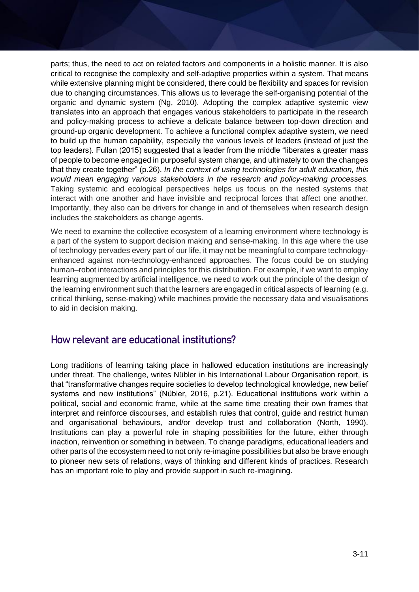parts; thus, the need to act on related factors and components in a holistic manner. It is also critical to recognise the complexity and self-adaptive properties within a system. That means while extensive planning might be considered, there could be flexibility and spaces for revision due to changing circumstances. This allows us to leverage the self-organising potential of the organic and dynamic system (Ng, 2010). Adopting the complex adaptive systemic view translates into an approach that engages various stakeholders to participate in the research and policy-making process to achieve a delicate balance between top-down direction and ground-up organic development. To achieve a functional complex adaptive system, we need to build up the human capability, especially the various levels of leaders (instead of just the top leaders). Fullan (2015) suggested that a leader from the middle "liberates a greater mass of people to become engaged in purposeful system change, and ultimately to own the changes that they create together" (p.26). *In the context of using technologies for adult education, this would mean engaging various stakeholders in the research and policy-making processes.* Taking systemic and ecological perspectives helps us focus on the nested systems that interact with one another and have invisible and reciprocal forces that affect one another. Importantly, they also can be drivers for change in and of themselves when research design includes the stakeholders as change agents.

We need to examine the collective ecosystem of a learning environment where technology is a part of the system to support decision making and sense-making. In this age where the use of technology pervades every part of our life, it may not be meaningful to compare technologyenhanced against non-technology-enhanced approaches. The focus could be on studying human–robot interactions and principles for this distribution. For example, if we want to employ learning augmented by artificial intelligence, we need to work out the principle of the design of the learning environment such that the learners are engaged in critical aspects of learning (e.g. critical thinking, sense-making) while machines provide the necessary data and visualisations to aid in decision making.

### **How relevant are educational institutions?**

Long traditions of learning taking place in hallowed education institutions are increasingly under threat. The challenge, writes Nübler in his International Labour Organisation report, is that "transformative changes require societies to develop technological knowledge, new belief systems and new institutions" (Nübler, 2016, p.21). Educational institutions work within a political, social and economic frame, while at the same time creating their own frames that interpret and reinforce discourses, and establish rules that control, guide and restrict human and organisational behaviours, and/or develop trust and collaboration (North, 1990). Institutions can play a powerful role in shaping possibilities for the future, either through inaction, reinvention or something in between. To change paradigms, educational leaders and other parts of the ecosystem need to not only re-imagine possibilities but also be brave enough to pioneer new sets of relations, ways of thinking and different kinds of practices. Research has an important role to play and provide support in such re-imagining.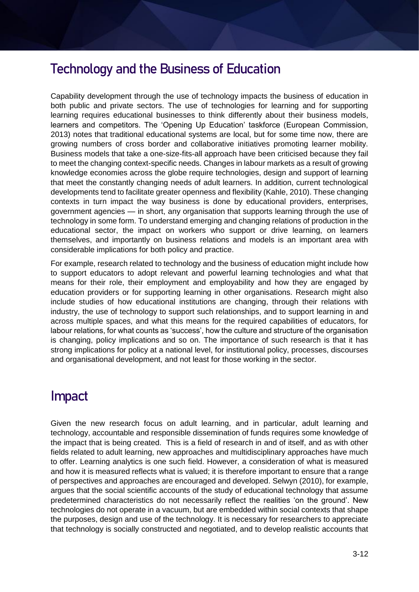### **Technology and the Business of Education**

Capability development through the use of technology impacts the business of education in both public and private sectors. The use of technologies for learning and for supporting learning requires educational businesses to think differently about their business models, learners and competitors. The 'Opening Up Education' taskforce (European Commission, 2013) notes that traditional educational systems are local, but for some time now, there are growing numbers of cross border and collaborative initiatives promoting learner mobility. Business models that take a one-size-fits-all approach have been criticised because they fail to meet the changing context-specific needs. Changes in labour markets as a result of growing knowledge economies across the globe require technologies, design and support of learning that meet the constantly changing needs of adult learners. In addition, current technological developments tend to facilitate greater openness and flexibility (Kahle, 2010). These changing contexts in turn impact the way business is done by educational providers, enterprises, government agencies — in short, any organisation that supports learning through the use of technology in some form. To understand emerging and changing relations of production in the educational sector, the impact on workers who support or drive learning, on learners themselves, and importantly on business relations and models is an important area with considerable implications for both policy and practice.

For example, research related to technology and the business of education might include how to support educators to adopt relevant and powerful learning technologies and what that means for their role, their employment and employability and how they are engaged by education providers or for supporting learning in other organisations. Research might also include studies of how educational institutions are changing, through their relations with industry, the use of technology to support such relationships, and to support learning in and across multiple spaces, and what this means for the required capabilities of educators, for labour relations, for what counts as 'success', how the culture and structure of the organisation is changing, policy implications and so on. The importance of such research is that it has strong implications for policy at a national level, for institutional policy, processes, discourses and organisational development, and not least for those working in the sector.

# **Impact**

Given the new research focus on adult learning, and in particular, adult learning and technology, accountable and responsible dissemination of funds requires some knowledge of the impact that is being created. This is a field of research in and of itself, and as with other fields related to adult learning, new approaches and multidisciplinary approaches have much to offer. Learning analytics is one such field. However, a consideration of what is measured and how it is measured reflects what is valued; it is therefore important to ensure that a range of perspectives and approaches are encouraged and developed. Selwyn (2010), for example, argues that the social scientific accounts of the study of educational technology that assume predetermined characteristics do not necessarily reflect the realities 'on the ground'. New technologies do not operate in a vacuum, but are embedded within social contexts that shape the purposes, design and use of the technology. It is necessary for researchers to appreciate that technology is socially constructed and negotiated, and to develop realistic accounts that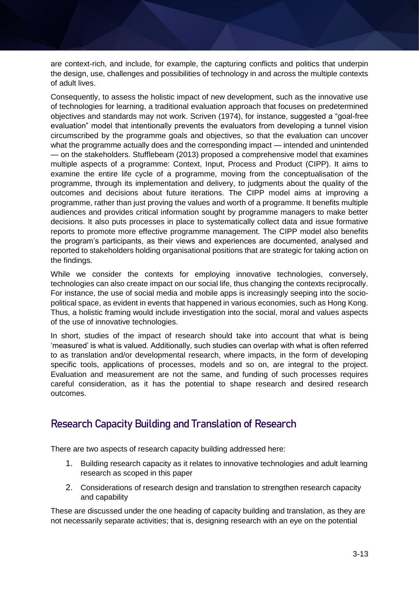are context-rich, and include, for example, the capturing conflicts and politics that underpin the design, use, challenges and possibilities of technology in and across the multiple contexts of adult lives.

Consequently, to assess the holistic impact of new development, such as the innovative use of technologies for learning, a traditional evaluation approach that focuses on predetermined objectives and standards may not work. Scriven (1974), for instance, suggested a "goal-free evaluation" model that intentionally prevents the evaluators from developing a tunnel vision circumscribed by the programme goals and objectives, so that the evaluation can uncover what the programme actually does and the corresponding impact — intended and unintended — on the stakeholders. Stufflebeam (2013) proposed a comprehensive model that examines multiple aspects of a programme: Context, Input, Process and Product (CIPP). It aims to examine the entire life cycle of a programme, moving from the conceptualisation of the programme, through its implementation and delivery, to judgments about the quality of the outcomes and decisions about future iterations. The CIPP model aims at improving a programme, rather than just proving the values and worth of a programme. It benefits multiple audiences and provides critical information sought by programme managers to make better decisions. It also puts processes in place to systematically collect data and issue formative reports to promote more effective programme management. The CIPP model also benefits the program's participants, as their views and experiences are documented, analysed and reported to stakeholders holding organisational positions that are strategic for taking action on the findings.

While we consider the contexts for employing innovative technologies, conversely, technologies can also create impact on our social life, thus changing the contexts reciprocally. For instance, the use of social media and mobile apps is increasingly seeping into the sociopolitical space, as evident in events that happened in various economies, such as Hong Kong. Thus, a holistic framing would include investigation into the social, moral and values aspects of the use of innovative technologies.

In short, studies of the impact of research should take into account that what is being 'measured' is what is valued. Additionally, such studies can overlap with what is often referred to as translation and/or developmental research, where impacts, in the form of developing specific tools, applications of processes, models and so on, are integral to the project. Evaluation and measurement are not the same, and funding of such processes requires careful consideration, as it has the potential to shape research and desired research outcomes.

### **Research Capacity Building and Translation of Research**

There are two aspects of research capacity building addressed here:

- 1. Building research capacity as it relates to innovative technologies and adult learning research as scoped in this paper
- 2. Considerations of research design and translation to strengthen research capacity and capability

These are discussed under the one heading of capacity building and translation, as they are not necessarily separate activities; that is, designing research with an eye on the potential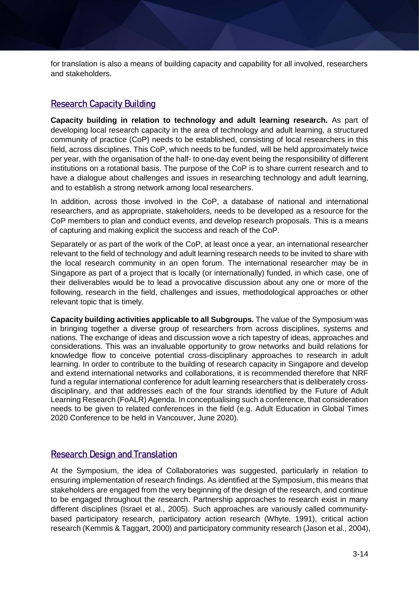for translation is also a means of building capacity and capability for all involved, researchers and stakeholders.

### Research Capacity Building

**Capacity building in relation to technology and adult learning research.** As part of developing local research capacity in the area of technology and adult learning, a structured community of practice (CoP) needs to be established, consisting of local researchers in this field, across disciplines. This CoP, which needs to be funded, will be held approximately twice per year, with the organisation of the half- to one-day event being the responsibility of different institutions on a rotational basis. The purpose of the CoP is to share current research and to have a dialogue about challenges and issues in researching technology and adult learning, and to establish a strong network among local researchers.

In addition, across those involved in the CoP, a database of national and international researchers, and as appropriate, stakeholders, needs to be developed as a resource for the CoP members to plan and conduct events, and develop research proposals. This is a means of capturing and making explicit the success and reach of the CoP.

Separately or as part of the work of the CoP, at least once a year, an international researcher relevant to the field of technology and adult learning research needs to be invited to share with the local research community in an open forum. The international researcher may be in Singapore as part of a project that is locally (or internationally) funded, in which case, one of their deliverables would be to lead a provocative discussion about any one or more of the following, research in the field, challenges and issues, methodological approaches or other relevant topic that is timely.

**Capacity building activities applicable to all Subgroups.** The value of the Symposium was in bringing together a diverse group of researchers from across disciplines, systems and nations. The exchange of ideas and discussion wove a rich tapestry of ideas, approaches and considerations. This was an invaluable opportunity to grow networks and build relations for knowledge flow to conceive potential cross-disciplinary approaches to research in adult learning. In order to contribute to the building of research capacity in Singapore and develop and extend international networks and collaborations, it is recommended therefore that NRF fund a regular international conference for adult learning researchers that is deliberately crossdisciplinary, and that addresses each of the four strands identified by the Future of Adult Learning Research (FoALR) Agenda. In conceptualising such a conference, that consideration needs to be given to related conferences in the field (e.g. Adult Education in Global Times 2020 Conference to be held in Vancouver, June 2020).

#### Research Design and Translation

At the Symposium, the idea of Collaboratories was suggested, particularly in relation to ensuring implementation of research findings. As identified at the Symposium, this means that stakeholders are engaged from the very beginning of the design of the research, and continue to be engaged throughout the research. Partnership approaches to research exist in many different disciplines (Israel et al., 2005). Such approaches are variously called communitybased participatory research, participatory action research (Whyte, 1991), critical action research (Kemmis & Taggart, 2000) and participatory community research (Jason et al., 2004),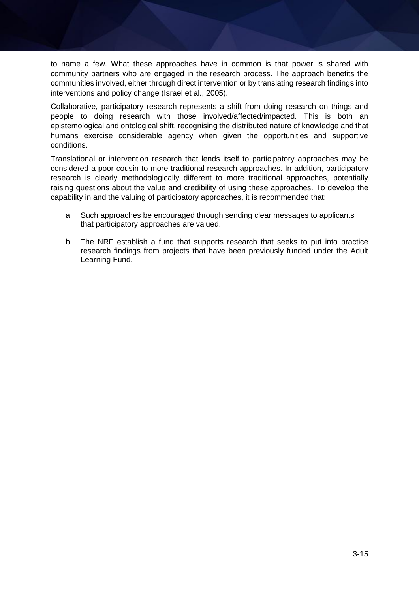to name a few. What these approaches have in common is that power is shared with community partners who are engaged in the research process. The approach benefits the communities involved, either through direct intervention or by translating research findings into interventions and policy change (Israel et al., 2005).

Collaborative, participatory research represents a shift from doing research on things and people to doing research with those involved/affected/impacted. This is both an epistemological and ontological shift, recognising the distributed nature of knowledge and that humans exercise considerable agency when given the opportunities and supportive conditions.

Translational or intervention research that lends itself to participatory approaches may be considered a poor cousin to more traditional research approaches. In addition, participatory research is clearly methodologically different to more traditional approaches, potentially raising questions about the value and credibility of using these approaches. To develop the capability in and the valuing of participatory approaches, it is recommended that:

- a. Such approaches be encouraged through sending clear messages to applicants that participatory approaches are valued.
- b. The NRF establish a fund that supports research that seeks to put into practice research findings from projects that have been previously funded under the Adult Learning Fund.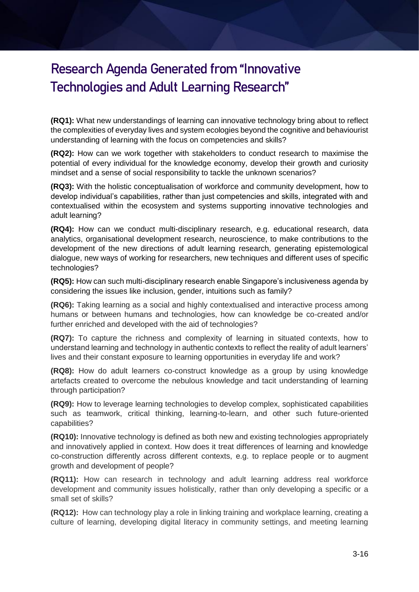# **Research Agenda Generated from "Innovative Technologies and Adult Learning Research"**

**(RQ1):** What new understandings of learning can innovative technology bring about to reflect the complexities of everyday lives and system ecologies beyond the cognitive and behaviourist understanding of learning with the focus on competencies and skills?

**(RQ2):** How can we work together with stakeholders to conduct research to maximise the potential of every individual for the knowledge economy, develop their growth and curiosity mindset and a sense of social responsibility to tackle the unknown scenarios?

**(RQ3):** With the holistic conceptualisation of workforce and community development, how to develop individual's capabilities, rather than just competencies and skills, integrated with and contextualised within the ecosystem and systems supporting innovative technologies and adult learning?

**(RQ4):** How can we conduct multi-disciplinary research, e.g. educational research, data analytics, organisational development research, neuroscience, to make contributions to the development of the new directions of adult learning research, generating epistemological dialogue, new ways of working for researchers, new techniques and different uses of specific technologies?

**(RQ5):** How can such multi-disciplinary research enable Singapore's inclusiveness agenda by considering the issues like inclusion, gender, intuitions such as family?

**(RQ6):** Taking learning as a social and highly contextualised and interactive process among humans or between humans and technologies, how can knowledge be co-created and/or further enriched and developed with the aid of technologies?

**(RQ7):** To capture the richness and complexity of learning in situated contexts, how to understand learning and technology in authentic contexts to reflect the reality of adult learners' lives and their constant exposure to learning opportunities in everyday life and work?

**(RQ8):** How do adult learners co-construct knowledge as a group by using knowledge artefacts created to overcome the nebulous knowledge and tacit understanding of learning through participation?

**(RQ9):** How to leverage learning technologies to develop complex, sophisticated capabilities such as teamwork, critical thinking, learning-to-learn, and other such future-oriented capabilities?

**(RQ10):** Innovative technology is defined as both new and existing technologies appropriately and innovatively applied in context. How does it treat differences of learning and knowledge co-construction differently across different contexts, e.g. to replace people or to augment growth and development of people?

**(RQ11):** How can research in technology and adult learning address real workforce development and community issues holistically, rather than only developing a specific or a small set of skills?

**(RQ12):** How can technology play a role in linking training and workplace learning, creating a culture of learning, developing digital literacy in community settings, and meeting learning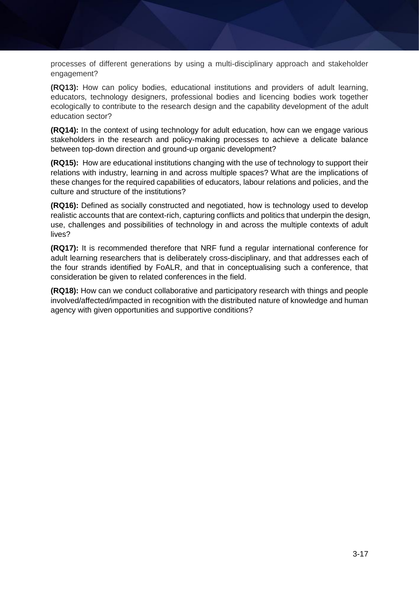processes of different generations by using a multi-disciplinary approach and stakeholder engagement?

**(RQ13):** How can policy bodies, educational institutions and providers of adult learning, educators, technology designers, professional bodies and licencing bodies work together ecologically to contribute to the research design and the capability development of the adult education sector?

**(RQ14):** In the context of using technology for adult education, how can we engage various stakeholders in the research and policy-making processes to achieve a delicate balance between top-down direction and ground-up organic development?

**(RQ15):** How are educational institutions changing with the use of technology to support their relations with industry, learning in and across multiple spaces? What are the implications of these changes for the required capabilities of educators, labour relations and policies, and the culture and structure of the institutions?

**(RQ16):** Defined as socially constructed and negotiated, how is technology used to develop realistic accounts that are context-rich, capturing conflicts and politics that underpin the design, use, challenges and possibilities of technology in and across the multiple contexts of adult lives?

**(RQ17):** It is recommended therefore that NRF fund a regular international conference for adult learning researchers that is deliberately cross-disciplinary, and that addresses each of the four strands identified by FoALR, and that in conceptualising such a conference, that consideration be given to related conferences in the field.

**(RQ18):** How can we conduct collaborative and participatory research with things and people involved/affected/impacted in recognition with the distributed nature of knowledge and human agency with given opportunities and supportive conditions?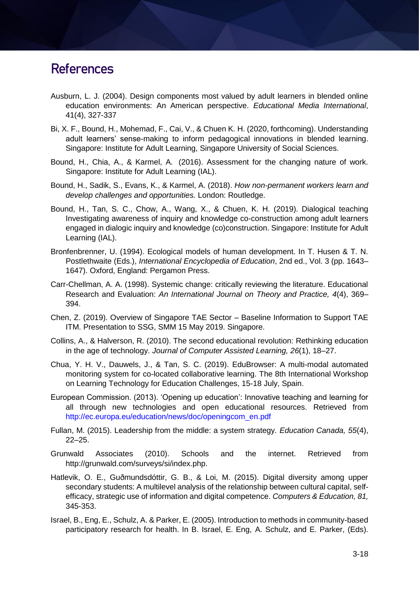### **References**

- Ausburn, L. J. (2004). Design components most valued by adult learners in blended online education environments: An American perspective. *Educational Media International*, 41(4), 327-337
- Bi, X. F., Bound, H., Mohemad, F., Cai, V., & Chuen K. H. (2020, forthcoming). Understanding adult learners' sense-making to inform pedagogical innovations in blended learning. Singapore: Institute for Adult Learning, Singapore University of Social Sciences.
- Bound, H., Chia, A., & Karmel, A. (2016). Assessment for the changing nature of work. Singapore: Institute for Adult Learning (IAL).
- Bound, H., Sadik, S., Evans, K., & Karmel, A. (2018). *How non-permanent workers learn and develop challenges and opportunities.* London: Routledge.
- Bound, H., Tan, S. C., Chow, A., Wang, X., & Chuen, K. H. (2019). Dialogical teaching Investigating awareness of inquiry and knowledge co-construction among adult learners engaged in dialogic inquiry and knowledge (co)construction. Singapore: Institute for Adult Learning (IAL).
- Bronfenbrenner, U. (1994). Ecological models of human development. In T. Husen & T. N. Postlethwaite (Eds.), *International Encyclopedia of Education*, 2nd ed., Vol. 3 (pp. 1643– 1647). Oxford, England: Pergamon Press.
- Carr-Chellman, A. A. (1998). Systemic change: critically reviewing the literature. Educational Research and Evaluation: *An International Journal on Theory and Practice, 4*(4), 369– 394.
- Chen, Z. (2019). Overview of Singapore TAE Sector Baseline Information to Support TAE ITM. Presentation to SSG, SMM 15 May 2019. Singapore.
- Collins, A., & Halverson, R. (2010). The second educational revolution: Rethinking education in the age of technology. *Journal of Computer Assisted Learning, 26*(1), 18–27.
- Chua, Y. H. V., Dauwels, J., & Tan, S. C. (2019). EduBrowser: A multi-modal automated monitoring system for co-located collaborative learning. The 8th International Workshop on Learning Technology for Education Challenges, 15-18 July, Spain.
- European Commission. (2013). 'Opening up education': Innovative teaching and learning for all through new technologies and open educational resources. Retrieved from http://ec.europa.eu/education/news/doc/openingcom\_en.pdf
- Fullan, M. (2015). Leadership from the middle: a system strategy. *Education Canada, 55*(4), 22–25.
- Grunwald Associates (2010). Schools and the internet. Retrieved from http://grunwald.com/surveys/si/index.php.
- Hatlevik, O. E., Guðmundsdóttir, G. B., & Loi, M. (2015). Digital diversity among upper secondary students: A multilevel analysis of the relationship between cultural capital, selfefficacy, strategic use of information and digital competence. *Computers & Education, 81,* 345-353.
- Israel, B., Eng, E., Schulz, A. & Parker, E. (2005). Introduction to methods in community-based participatory research for health. In B. Israel, E. Eng, A. Schulz, and E. Parker, (Eds).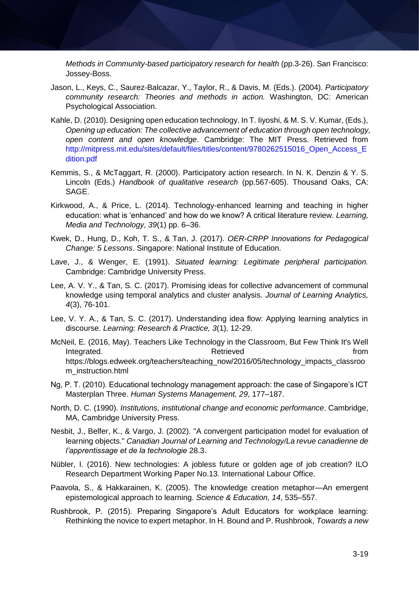*Methods in Community-based participatory research for health (pp.3-26). San Francisco:* Jossey-Boss.

- Jason, L., Keys, C., Saurez-Balcazar, Y., Taylor, R., & Davis, M. (Eds.). (2004). *Participatory community research: Theories and methods in action.* Washington, DC: American Psychological Association.
- Kahle, D. (2010). Designing open education technology. In T. Iiyoshi, & M. S. V. Kumar, (Eds.), *Opening up education: The collective advancement of education through open technology, open content and open knowledge*. Cambridge: The MIT Press. Retrieved from http://mitpress.mit.edu/sites/default/files/titles/content/9780262515016\_Open\_Access\_E dition.pdf
- Kemmis, S., & McTaggart, R. (2000). Participatory action research. In N. K. Denzin & Y. S. Lincoln (Eds.) *Handbook of qualitative research* (pp.567-605). Thousand Oaks, CA: SAGE.
- Kirkwood, A., & Price, L. (2014). Technology-enhanced learning and teaching in higher education: what is 'enhanced' and how do we know? A critical literature review. *Learning, Media and Technology, 39*(1) pp. 6–36.
- Kwek, D., Hung, D., Koh, T. S., & Tan, J. (2017). *OER-CRPP Innovations for Pedagogical Change: 5 Lessons*. Singapore: National Institute of Education.
- Lave, J., & Wenger, E. (1991). *Situated learning: Legitimate peripheral participation.* Cambridge: Cambridge University Press.
- Lee, A. V. Y., & Tan, S. C. (2017). Promising ideas for collective advancement of communal knowledge using temporal analytics and cluster analysis. *Journal of Learning Analytics, 4*(3), 76-101.
- Lee, V. Y. A., & Tan, S. C. (2017). Understanding idea flow: Applying learning analytics in discourse. *Learning: Research & Practice, 3*(1), 12-29.
- McNeil, E. (2016, May). Teachers Like Technology in the Classroom, But Few Think It's Well Integrated. The contract of the Retrieved contract in the from the from the from the from the from the from the state of the from the state of the state of the state of the state of the state of the state of the state of t https://blogs.edweek.org/teachers/teaching\_now/2016/05/technology\_impacts\_classroo m\_instruction.html
- Ng, P. T. (2010). Educational technology management approach: the case of Singapore's ICT Masterplan Three. *Human Systems Management, 29*, 177–187.
- North, D. C. (1990). *Institutions, institutional change and economic performance*. Cambridge, MA, Cambridge University Press.
- Nesbit, J., Belfer, K., & Vargo, J. (2002). "A convergent participation model for evaluation of learning objects." *Canadian Journal of Learning and Technology/La revue canadienne de l'apprentissage et de la technologie* 28.3.
- Nübler, I. (2016). New technologies: A jobless future or golden age of job creation? ILO Research Department Working Paper No.13. International Labour Office.
- Paavola, S., & Hakkarainen, K. (2005). The knowledge creation metaphor—An emergent epistemological approach to learning. *Science & Education, 14*, 535–557.
- Rushbrook, P. (2015). Preparing Singapore's Adult Educators for workplace learning: Rethinking the novice to expert metaphor. In H. Bound and P. Rushbrook, *Towards a new*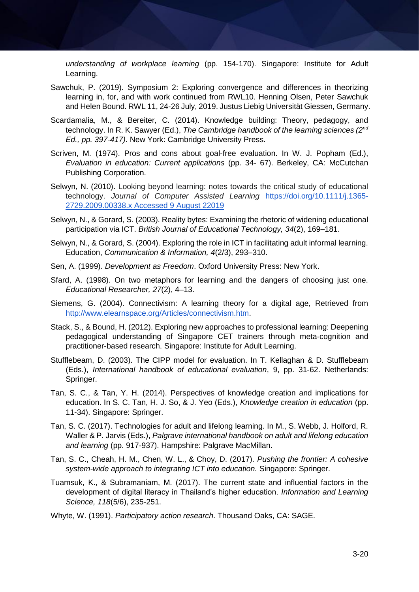*understanding of workplace learning* (pp. 154-170). Singapore: Institute for Adult Learning.

- Sawchuk, P. (2019). Symposium 2: Exploring convergence and differences in theorizing learning in, for, and with work continued from RWL10. Henning Olsen, Peter Sawchuk and Helen Bound. RWL 11, 24-26 July, 2019. Justus Liebig Universität Giessen, Germany.
- Scardamalia, M., & Bereiter, C. (2014). Knowledge building: Theory, pedagogy, and technology. In R. K. Sawyer (Ed.), *The Cambridge handbook of the learning sciences (2nd Ed., pp. 397-417)*. New York: Cambridge University Press.
- Scriven, M. (1974). Pros and cons about goal-free evaluation. In W. J. Popham (Ed.), *Evaluation in education: Current applications* (pp. 34- 67). Berkeley, CA: McCutchan Publishing Corporation.
- Selwyn, N. (2010). Looking beyond learning: notes towards the critical study of educational technology. *Journal of Computer Assisted Learning* [https://doi.org/10.1111/j.1365-](https://doi.org/10.1111/j.1365-2729.2009.00338.x%20Accessed%209%20August%2022019) [2729.2009.00338.x Accessed 9 August 22019](https://doi.org/10.1111/j.1365-2729.2009.00338.x%20Accessed%209%20August%2022019)
- Selwyn, N., & Gorard, S. (2003). Reality bytes: Examining the rhetoric of widening educational participation via ICT. *British Journal of Educational Technology, 34*(2), 169–181.
- Selwyn, N., & Gorard, S. (2004). Exploring the role in ICT in facilitating adult informal learning. Education, *Communication & Information, 4*(2/3), 293–310.
- Sen, A. (1999). *Development as Freedom*. Oxford University Press: New York.
- Sfard, A. (1998). On two metaphors for learning and the dangers of choosing just one. *Educational Researcher, 27*(2), 4–13.
- Siemens, G. (2004). Connectivism: A learning theory for a digital age, Retrieved fro[m](http://www.elearnspace.org/Articles/connectivism.htm) [http://www.elearnspace.org/Articles/connectivism.htm.](http://www.elearnspace.org/Articles/connectivism.htm)
- Stack, S., & Bound, H. (2012). Exploring new approaches to professional learning: Deepening pedagogical understanding of Singapore CET trainers through meta-cognition and practitioner-based research. Singapore: Institute for Adult Learning.
- Stufflebeam, D. (2003). The CIPP model for evaluation. In T. Kellaghan & D. Stufflebeam (Eds.), *International handbook of educational evaluation*, 9, pp. 31-62. Netherlands: Springer.
- Tan, S. C., & Tan, Y. H. (2014). Perspectives of knowledge creation and implications for education. In S. C. Tan, H. J. So, & J. Yeo (Eds.), *Knowledge creation in education* (pp. 11-34). Singapore: Springer.
- Tan, S. C. (2017). Technologies for adult and lifelong learning. In M., S. Webb, J. Holford, R. Waller & P. Jarvis (Eds.), *Palgrave international handbook on adult and lifelong education and learning* (pp. 917-937). Hampshire: Palgrave MacMillan.
- Tan, S. C., Cheah, H. M., Chen, W. L., & Choy, D. (2017). *Pushing the frontier: A cohesive system-wide approach to integrating ICT into education.* Singapore: Springer.
- Tuamsuk, K., & Subramaniam, M. (2017). The current state and influential factors in the development of digital literacy in Thailand's higher education. *Information and Learning Science, 118*(5/6), 235-251.
- Whyte, W. (1991). *Participatory action research*. Thousand Oaks, CA: SAGE.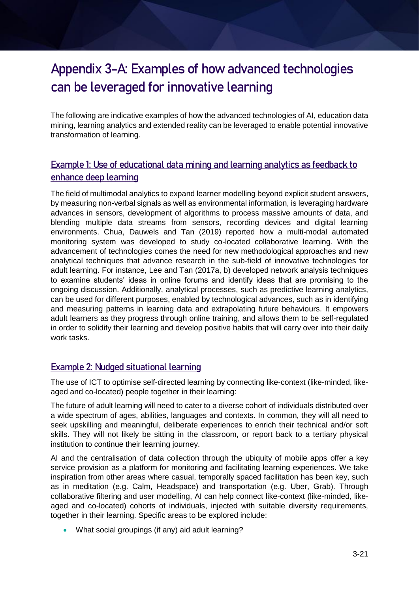# **Appendix 3-A: Examples of how advanced technologies can be leveraged for innovative learning**

The following are indicative examples of how the advanced technologies of AI, education data mining, learning analytics and extended reality can be leveraged to enable potential innovative transformation of learning.

### Example 1: Use of educational data mining and learning analytics as feedback to enhance deep learning

The field of multimodal analytics to expand learner modelling beyond explicit student answers, by measuring non-verbal signals as well as environmental information, is leveraging hardware advances in sensors, development of algorithms to process massive amounts of data, and blending multiple data streams from sensors, recording devices and digital learning environments. Chua, Dauwels and Tan (2019) reported how a multi-modal automated monitoring system was developed to study co-located collaborative learning. With the advancement of technologies comes the need for new methodological approaches and new analytical techniques that advance research in the sub-field of innovative technologies for adult learning. For instance, Lee and Tan (2017a, b) developed network analysis techniques to examine students' ideas in online forums and identify ideas that are promising to the ongoing discussion. Additionally, analytical processes, such as predictive learning analytics, can be used for different purposes, enabled by technological advances, such as in identifying and measuring patterns in learning data and extrapolating future behaviours. It empowers adult learners as they progress through online training, and allows them to be self-regulated in order to solidify their learning and develop positive habits that will carry over into their daily work tasks.

### Example 2: Nudged situational learning

The use of ICT to optimise self-directed learning by connecting like-context (like-minded, likeaged and co-located) people together in their learning:

The future of adult learning will need to cater to a diverse cohort of individuals distributed over a wide spectrum of ages, abilities, languages and contexts. In common, they will all need to seek upskilling and meaningful, deliberate experiences to enrich their technical and/or soft skills. They will not likely be sitting in the classroom, or report back to a tertiary physical institution to continue their learning journey.

AI and the centralisation of data collection through the ubiquity of mobile apps offer a key service provision as a platform for monitoring and facilitating learning experiences. We take inspiration from other areas where casual, temporally spaced facilitation has been key, such as in meditation (e.g. Calm, Headspace) and transportation (e.g. Uber, Grab). Through collaborative filtering and user modelling, AI can help connect like-context (like-minded, likeaged and co-located) cohorts of individuals, injected with suitable diversity requirements, together in their learning. Specific areas to be explored include:

What social groupings (if any) aid adult learning?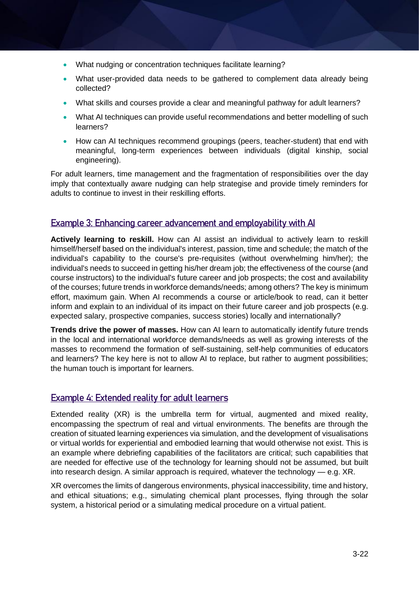- What nudging or concentration techniques facilitate learning?
- What user-provided data needs to be gathered to complement data already being collected?
- What skills and courses provide a clear and meaningful pathway for adult learners?
- What AI techniques can provide useful recommendations and better modelling of such learners?
- How can AI techniques recommend groupings (peers, teacher-student) that end with meaningful, long-term experiences between individuals (digital kinship, social engineering).

For adult learners, time management and the fragmentation of responsibilities over the day imply that contextually aware nudging can help strategise and provide timely reminders for adults to continue to invest in their reskilling efforts.

### Example 3: Enhancing career advancement and employability with AI

**Actively learning to reskill.** How can AI assist an individual to actively learn to reskill himself/herself based on the individual's interest, passion, time and schedule; the match of the individual's capability to the course's pre-requisites (without overwhelming him/her); the individual's needs to succeed in getting his/her dream job; the effectiveness of the course (and course instructors) to the individual's future career and job prospects; the cost and availability of the courses; future trends in workforce demands/needs; among others? The key is minimum effort, maximum gain. When AI recommends a course or article/book to read, can it better inform and explain to an individual of its impact on their future career and job prospects (e.g. expected salary, prospective companies, success stories) locally and internationally?

**Trends drive the power of masses.** How can AI learn to automatically identify future trends in the local and international workforce demands/needs as well as growing interests of the masses to recommend the formation of self-sustaining, self-help communities of educators and learners? The key here is not to allow AI to replace, but rather to augment possibilities; the human touch is important for learners.

### Example 4: Extended reality for adult learners

Extended reality (XR) is the umbrella term for virtual, augmented and mixed reality, encompassing the spectrum of real and virtual environments. The benefits are through the creation of situated learning experiences via simulation, and the development of visualisations or virtual worlds for experiential and embodied learning that would otherwise not exist. This is an example where debriefing capabilities of the facilitators are critical; such capabilities that are needed for effective use of the technology for learning should not be assumed, but built into research design. A similar approach is required, whatever the technology — e.g. XR.

XR overcomes the limits of dangerous environments, physical inaccessibility, time and history, and ethical situations; e.g., simulating chemical plant processes, flying through the solar system, a historical period or a simulating medical procedure on a virtual patient.